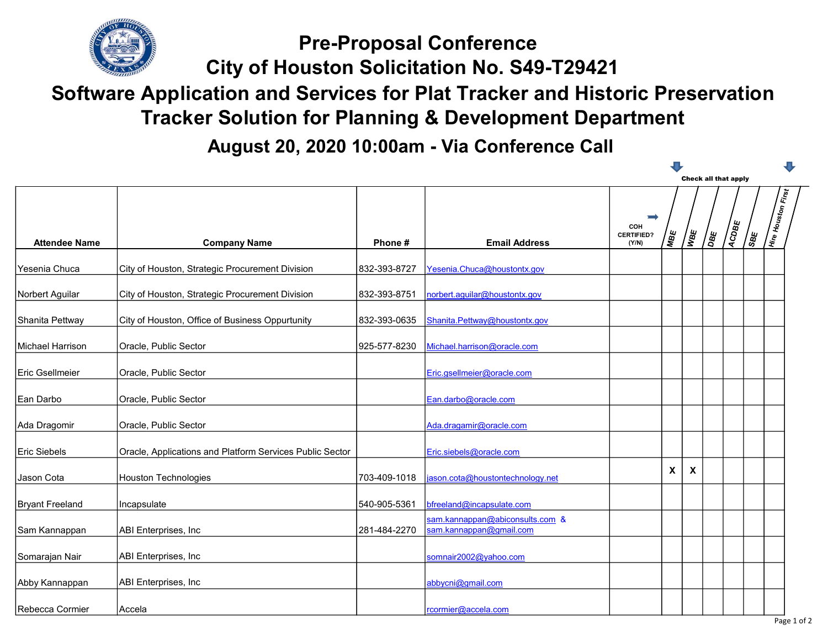

City of Houston Solicitation No. S49-T29421 Pre-Proposal Conference

## Software Application and Services for Plat Tracker and Historic Preservation Tracker Solution for Planning & Development Department

August 20, 2020 10:00am - Via Conference Call

|                        |                                                          |              |                                                            |                                               |              |                           |            | Check all that apply |               |                    |
|------------------------|----------------------------------------------------------|--------------|------------------------------------------------------------|-----------------------------------------------|--------------|---------------------------|------------|----------------------|---------------|--------------------|
| <b>Attendee Name</b>   | <b>Company Name</b>                                      | Phone#       | <b>Email Address</b>                                       | $\equiv$<br>COH<br><b>CERTIFIED?</b><br>(Y/N) | MBE          | <u>। अ</u>                | aga<br>Dag | ACDBE                | / မျှ<br>(၁၀) | Hire Houston First |
|                        |                                                          |              |                                                            |                                               |              |                           |            |                      |               |                    |
| Yesenia Chuca          | City of Houston, Strategic Procurement Division          | 832-393-8727 | Yesenia.Chuca@houstontx.gov                                |                                               |              |                           |            |                      |               |                    |
| Norbert Aguilar        | City of Houston, Strategic Procurement Division          | 832-393-8751 | norbert.aguilar@houstontx.gov                              |                                               |              |                           |            |                      |               |                    |
| Shanita Pettway        | City of Houston, Office of Business Oppurtunity          | 832-393-0635 | Shanita.Pettway@houstontx.gov                              |                                               |              |                           |            |                      |               |                    |
| Michael Harrison       | Oracle, Public Sector                                    | 925-577-8230 | Michael.harrison@oracle.com                                |                                               |              |                           |            |                      |               |                    |
| Eric Gsellmeier        | Oracle, Public Sector                                    |              | Eric.gsellmeier@oracle.com                                 |                                               |              |                           |            |                      |               |                    |
| Ean Darbo              | Oracle, Public Sector                                    |              | Ean.darbo@oracle.com                                       |                                               |              |                           |            |                      |               |                    |
| Ada Dragomir           | Oracle, Public Sector                                    |              | Ada.dragamir@oracle.com                                    |                                               |              |                           |            |                      |               |                    |
| Eric Siebels           | Oracle, Applications and Platform Services Public Sector |              | Eric.siebels@oracle.com                                    |                                               |              |                           |            |                      |               |                    |
| Jason Cota             | <b>Houston Technologies</b>                              | 703-409-1018 | jason.cota@houstontechnology.net                           |                                               | $\mathsf{X}$ | $\boldsymbol{\mathsf{X}}$ |            |                      |               |                    |
| <b>Bryant Freeland</b> | Incapsulate                                              | 540-905-5361 | bfreeland@incapsulate.com                                  |                                               |              |                           |            |                      |               |                    |
| Sam Kannappan          | ABI Enterprises, Inc                                     | 281-484-2270 | sam.kannappan@abiconsults.com &<br>sam.kannappan@gmail.com |                                               |              |                           |            |                      |               |                    |
| Somarajan Nair         | ABI Enterprises, Inc                                     |              | somnair2002@yahoo.com                                      |                                               |              |                           |            |                      |               |                    |
| Abby Kannappan         | ABI Enterprises, Inc                                     |              | abbycni@gmail.com                                          |                                               |              |                           |            |                      |               |                    |
| Rebecca Cormier        | Accela                                                   |              | rcormier@accela.com                                        |                                               |              |                           |            |                      |               |                    |

л